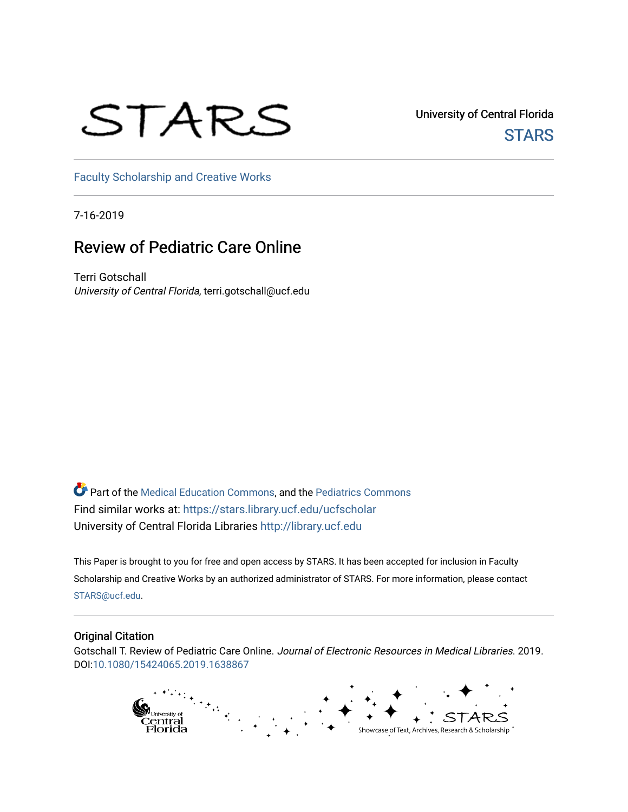# STARS

University of Central Florida **STARS** 

[Faculty Scholarship and Creative Works](https://stars.library.ucf.edu/ucfscholar) 

7-16-2019

# Review of Pediatric Care Online

Terri Gotschall University of Central Florida, terri.gotschall@ucf.edu

Part of the [Medical Education Commons,](http://network.bepress.com/hgg/discipline/1125?utm_source=stars.library.ucf.edu%2Fucfscholar%2F1056&utm_medium=PDF&utm_campaign=PDFCoverPages) and the [Pediatrics Commons](http://network.bepress.com/hgg/discipline/700?utm_source=stars.library.ucf.edu%2Fucfscholar%2F1056&utm_medium=PDF&utm_campaign=PDFCoverPages)  Find similar works at: <https://stars.library.ucf.edu/ucfscholar> University of Central Florida Libraries [http://library.ucf.edu](http://library.ucf.edu/) 

This Paper is brought to you for free and open access by STARS. It has been accepted for inclusion in Faculty Scholarship and Creative Works by an authorized administrator of STARS. For more information, please contact [STARS@ucf.edu](mailto:STARS@ucf.edu).

#### Original Citation

Gotschall T. Review of Pediatric Care Online. Journal of Electronic Resources in Medical Libraries. 2019. DOI:[10.1080/15424065.2019.1638867](https://doi.org/10.1080/15424065.2019.1638867) 

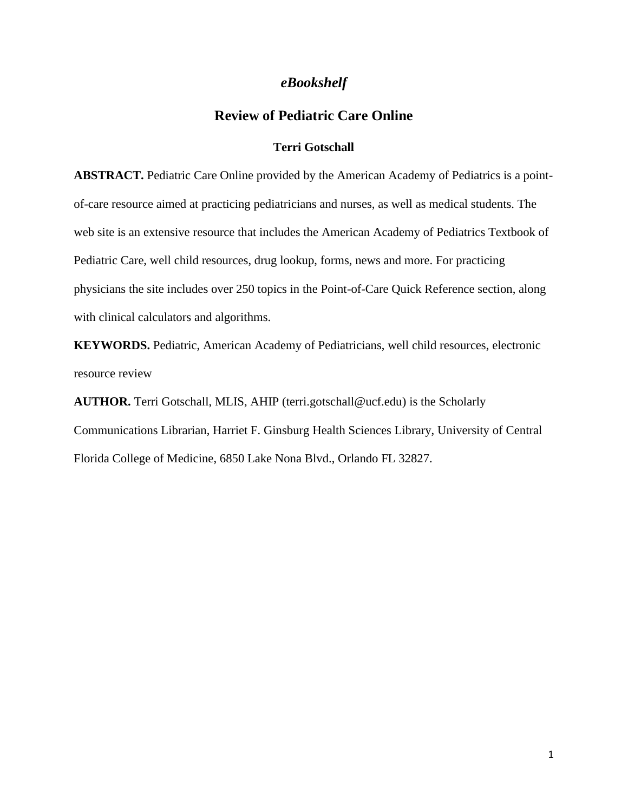### *eBookshelf*

## **Review of Pediatric Care Online**

#### **Terri Gotschall**

**ABSTRACT.** Pediatric Care Online provided by the American Academy of Pediatrics is a pointof-care resource aimed at practicing pediatricians and nurses, as well as medical students. The web site is an extensive resource that includes the American Academy of Pediatrics Textbook of Pediatric Care, well child resources, drug lookup, forms, news and more. For practicing physicians the site includes over 250 topics in the Point-of-Care Quick Reference section, along with clinical calculators and algorithms.

**KEYWORDS.** Pediatric, American Academy of Pediatricians, well child resources, electronic resource review

**AUTHOR.** Terri Gotschall, MLIS, AHIP (terri.gotschall@ucf.edu) is the Scholarly Communications Librarian, Harriet F. Ginsburg Health Sciences Library, University of Central Florida College of Medicine, 6850 Lake Nona Blvd., Orlando FL 32827.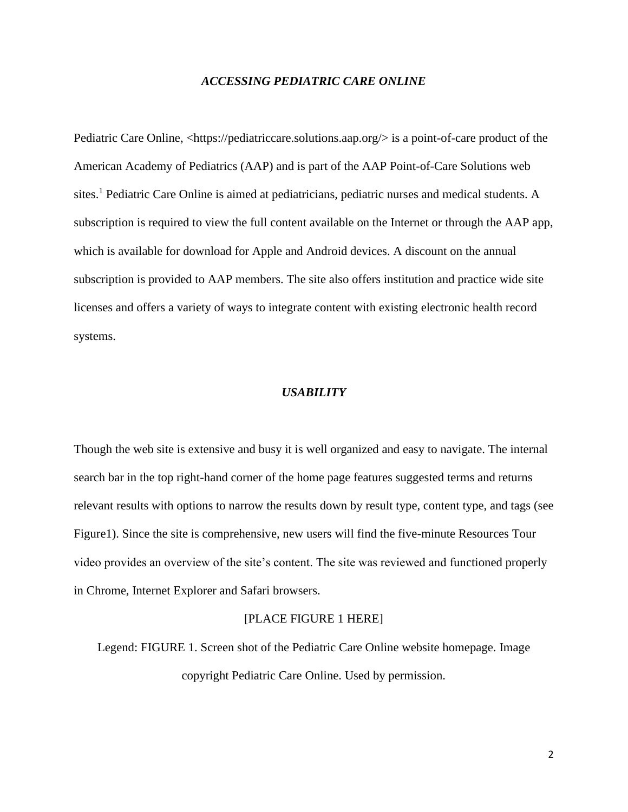#### *ACCESSING PEDIATRIC CARE ONLINE*

Pediatric Care Online,  $\langle$ https://pediatriccare.solutions.aap.org/ $>$  is a point-of-care product of the American Academy of Pediatrics (AAP) and is part of the AAP Point-of-Care Solutions web sites.<sup>1</sup> Pediatric Care Online is aimed at pediatricians, pediatric nurses and medical students. A subscription is required to view the full content available on the Internet or through the AAP app, which is available for download for Apple and Android devices. A discount on the annual subscription is provided to AAP members. The site also offers institution and practice wide site licenses and offers a variety of ways to integrate content with existing electronic health record systems.

#### *USABILITY*

Though the web site is extensive and busy it is well organized and easy to navigate. The internal search bar in the top right-hand corner of the home page features suggested terms and returns relevant results with options to narrow the results down by result type, content type, and tags (see Figure1). Since the site is comprehensive, new users will find the five-minute Resources Tour video provides an overview of the site's content. The site was reviewed and functioned properly in Chrome, Internet Explorer and Safari browsers.

#### [PLACE FIGURE 1 HERE]

Legend: FIGURE 1. Screen shot of the Pediatric Care Online website homepage. Image copyright Pediatric Care Online. Used by permission.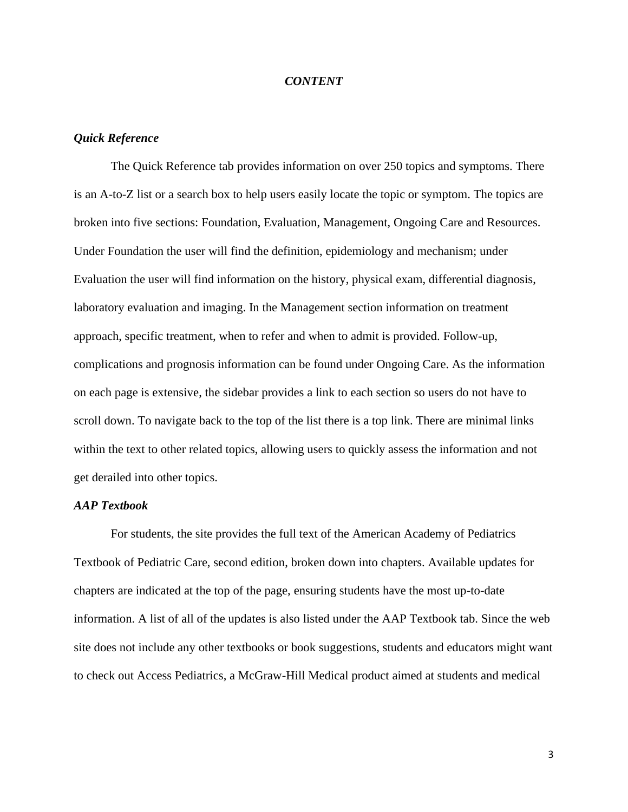#### *CONTENT*

#### *Quick Reference*

The Quick Reference tab provides information on over 250 topics and symptoms. There is an A-to-Z list or a search box to help users easily locate the topic or symptom. The topics are broken into five sections: Foundation, Evaluation, Management, Ongoing Care and Resources. Under Foundation the user will find the definition, epidemiology and mechanism; under Evaluation the user will find information on the history, physical exam, differential diagnosis, laboratory evaluation and imaging. In the Management section information on treatment approach, specific treatment, when to refer and when to admit is provided. Follow-up, complications and prognosis information can be found under Ongoing Care. As the information on each page is extensive, the sidebar provides a link to each section so users do not have to scroll down. To navigate back to the top of the list there is a top link. There are minimal links within the text to other related topics, allowing users to quickly assess the information and not get derailed into other topics.

#### *AAP Textbook*

For students, the site provides the full text of the American Academy of Pediatrics Textbook of Pediatric Care, second edition, broken down into chapters. Available updates for chapters are indicated at the top of the page, ensuring students have the most up-to-date information. A list of all of the updates is also listed under the AAP Textbook tab. Since the web site does not include any other textbooks or book suggestions, students and educators might want to check out Access Pediatrics, a McGraw-Hill Medical product aimed at students and medical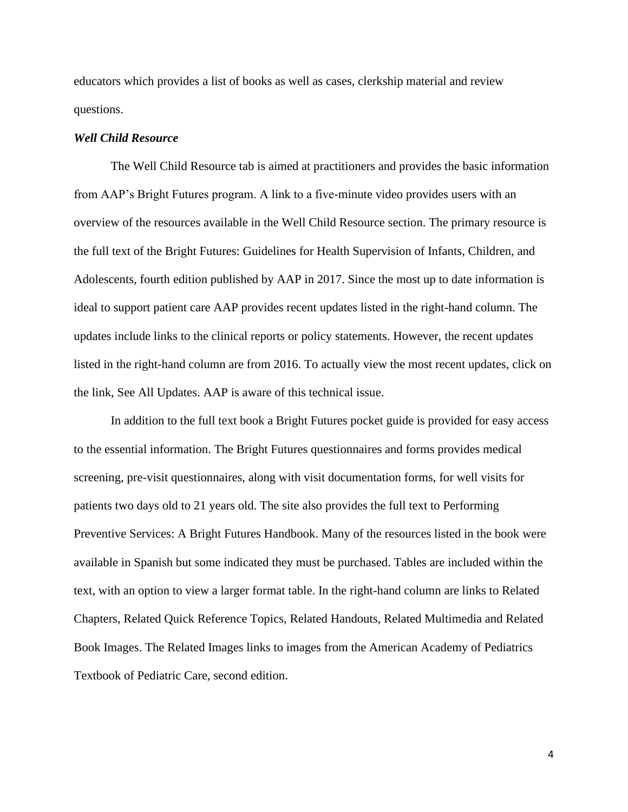educators which provides a list of books as well as cases, clerkship material and review questions.

#### *Well Child Resource*

The Well Child Resource tab is aimed at practitioners and provides the basic information from AAP's Bright Futures program. A link to a five-minute video provides users with an overview of the resources available in the Well Child Resource section. The primary resource is the full text of the Bright Futures: Guidelines for Health Supervision of Infants, Children, and Adolescents, fourth edition published by AAP in 2017. Since the most up to date information is ideal to support patient care AAP provides recent updates listed in the right-hand column. The updates include links to the clinical reports or policy statements. However, the recent updates listed in the right-hand column are from 2016. To actually view the most recent updates, click on the link, See All Updates. AAP is aware of this technical issue.

In addition to the full text book a Bright Futures pocket guide is provided for easy access to the essential information. The Bright Futures questionnaires and forms provides medical screening, pre-visit questionnaires, along with visit documentation forms, for well visits for patients two days old to 21 years old. The site also provides the full text to Performing Preventive Services: A Bright Futures Handbook. Many of the resources listed in the book were available in Spanish but some indicated they must be purchased. Tables are included within the text, with an option to view a larger format table. In the right-hand column are links to Related Chapters, Related Quick Reference Topics, Related Handouts, Related Multimedia and Related Book Images. The Related Images links to images from the American Academy of Pediatrics Textbook of Pediatric Care, second edition.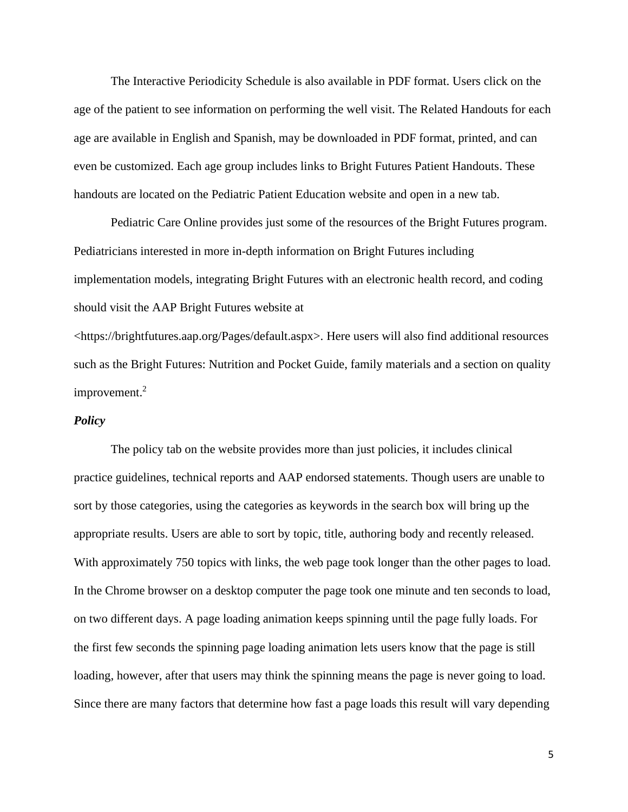The Interactive Periodicity Schedule is also available in PDF format. Users click on the age of the patient to see information on performing the well visit. The Related Handouts for each age are available in English and Spanish, may be downloaded in PDF format, printed, and can even be customized. Each age group includes links to Bright Futures Patient Handouts. These handouts are located on the Pediatric Patient Education website and open in a new tab.

Pediatric Care Online provides just some of the resources of the Bright Futures program. Pediatricians interested in more in-depth information on Bright Futures including implementation models, integrating Bright Futures with an electronic health record, and coding should visit the AAP Bright Futures website at

<https://brightfutures.aap.org/Pages/default.aspx>. Here users will also find additional resources such as the Bright Futures: Nutrition and Pocket Guide, family materials and a section on quality improvement.<sup>2</sup>

#### *Policy*

The policy tab on the website provides more than just policies, it includes clinical practice guidelines, technical reports and AAP endorsed statements. Though users are unable to sort by those categories, using the categories as keywords in the search box will bring up the appropriate results. Users are able to sort by topic, title, authoring body and recently released. With approximately 750 topics with links, the web page took longer than the other pages to load. In the Chrome browser on a desktop computer the page took one minute and ten seconds to load, on two different days. A page loading animation keeps spinning until the page fully loads. For the first few seconds the spinning page loading animation lets users know that the page is still loading, however, after that users may think the spinning means the page is never going to load. Since there are many factors that determine how fast a page loads this result will vary depending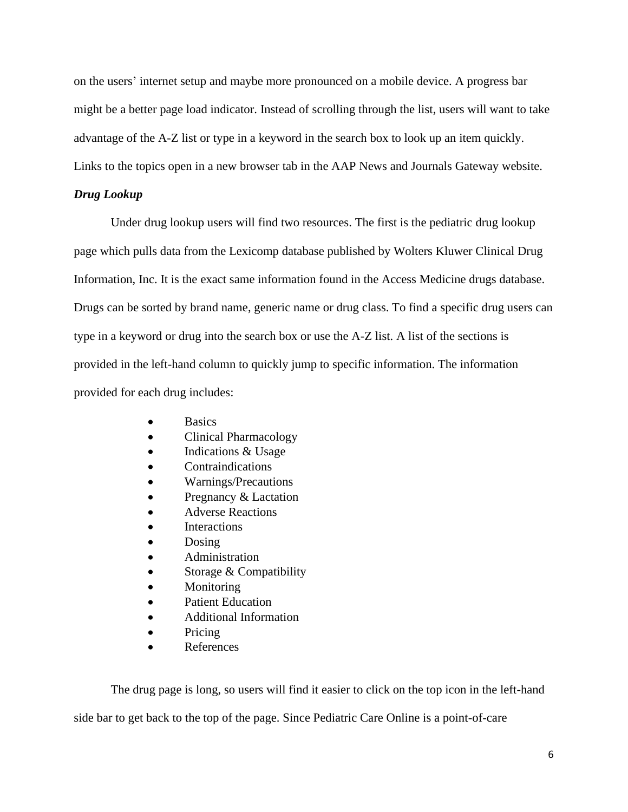on the users' internet setup and maybe more pronounced on a mobile device. A progress bar might be a better page load indicator. Instead of scrolling through the list, users will want to take advantage of the A-Z list or type in a keyword in the search box to look up an item quickly. Links to the topics open in a new browser tab in the AAP News and Journals Gateway website.

#### *Drug Lookup*

Under drug lookup users will find two resources. The first is the pediatric drug lookup page which pulls data from the Lexicomp database published by Wolters Kluwer Clinical Drug Information, Inc. It is the exact same information found in the Access Medicine drugs database. Drugs can be sorted by brand name, generic name or drug class. To find a specific drug users can type in a keyword or drug into the search box or use the A-Z list. A list of the sections is provided in the left-hand column to quickly jump to specific information. The information provided for each drug includes:

- **Basics**
- Clinical Pharmacology
- Indications & Usage
- **Contraindications**
- Warnings/Precautions
- Pregnancy & Lactation
- Adverse Reactions
- **Interactions**
- Dosing
- Administration
- Storage & Compatibility
- **Monitoring**
- Patient Education
- Additional Information
- Pricing
- References

The drug page is long, so users will find it easier to click on the top icon in the left-hand

side bar to get back to the top of the page. Since Pediatric Care Online is a point-of-care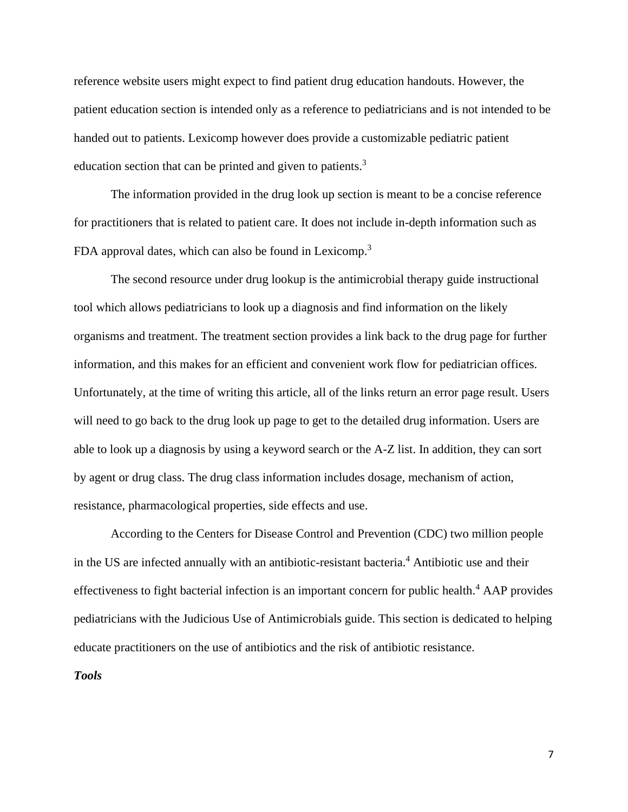reference website users might expect to find patient drug education handouts. However, the patient education section is intended only as a reference to pediatricians and is not intended to be handed out to patients. Lexicomp however does provide a customizable pediatric patient education section that can be printed and given to patients.<sup>3</sup>

The information provided in the drug look up section is meant to be a concise reference for practitioners that is related to patient care. It does not include in-depth information such as FDA approval dates, which can also be found in Lexicomp.<sup>3</sup>

The second resource under drug lookup is the antimicrobial therapy guide instructional tool which allows pediatricians to look up a diagnosis and find information on the likely organisms and treatment. The treatment section provides a link back to the drug page for further information, and this makes for an efficient and convenient work flow for pediatrician offices. Unfortunately, at the time of writing this article, all of the links return an error page result. Users will need to go back to the drug look up page to get to the detailed drug information. Users are able to look up a diagnosis by using a keyword search or the A-Z list. In addition, they can sort by agent or drug class. The drug class information includes dosage, mechanism of action, resistance, pharmacological properties, side effects and use.

According to the Centers for Disease Control and Prevention (CDC) two million people in the US are infected annually with an antibiotic-resistant bacteria.<sup>4</sup> Antibiotic use and their effectiveness to fight bacterial infection is an important concern for public health.<sup>4</sup> AAP provides pediatricians with the Judicious Use of Antimicrobials guide. This section is dedicated to helping educate practitioners on the use of antibiotics and the risk of antibiotic resistance.

*Tools*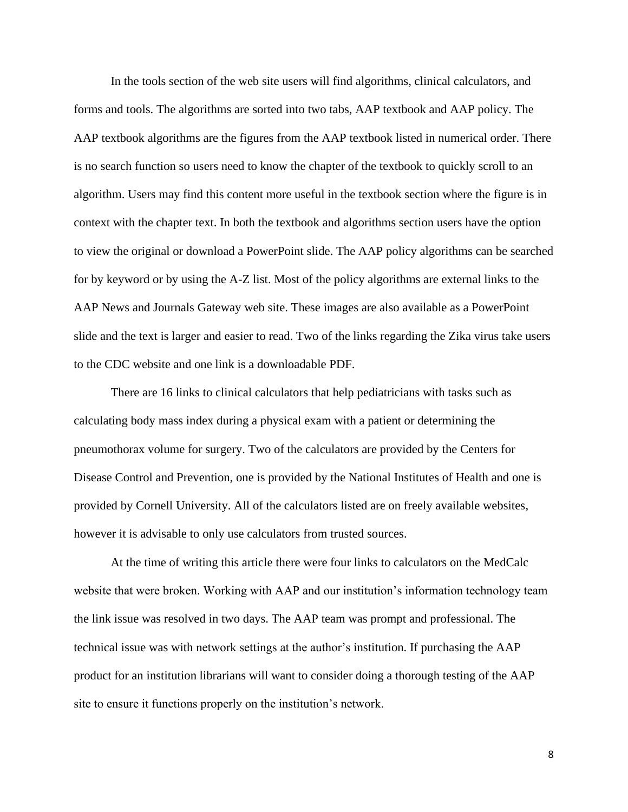In the tools section of the web site users will find algorithms, clinical calculators, and forms and tools. The algorithms are sorted into two tabs, AAP textbook and AAP policy. The AAP textbook algorithms are the figures from the AAP textbook listed in numerical order. There is no search function so users need to know the chapter of the textbook to quickly scroll to an algorithm. Users may find this content more useful in the textbook section where the figure is in context with the chapter text. In both the textbook and algorithms section users have the option to view the original or download a PowerPoint slide. The AAP policy algorithms can be searched for by keyword or by using the A-Z list. Most of the policy algorithms are external links to the AAP News and Journals Gateway web site. These images are also available as a PowerPoint slide and the text is larger and easier to read. Two of the links regarding the Zika virus take users to the CDC website and one link is a downloadable PDF.

There are 16 links to clinical calculators that help pediatricians with tasks such as calculating body mass index during a physical exam with a patient or determining the pneumothorax volume for surgery. Two of the calculators are provided by the Centers for Disease Control and Prevention, one is provided by the National Institutes of Health and one is provided by Cornell University. All of the calculators listed are on freely available websites, however it is advisable to only use calculators from trusted sources.

At the time of writing this article there were four links to calculators on the MedCalc website that were broken. Working with AAP and our institution's information technology team the link issue was resolved in two days. The AAP team was prompt and professional. The technical issue was with network settings at the author's institution. If purchasing the AAP product for an institution librarians will want to consider doing a thorough testing of the AAP site to ensure it functions properly on the institution's network.

8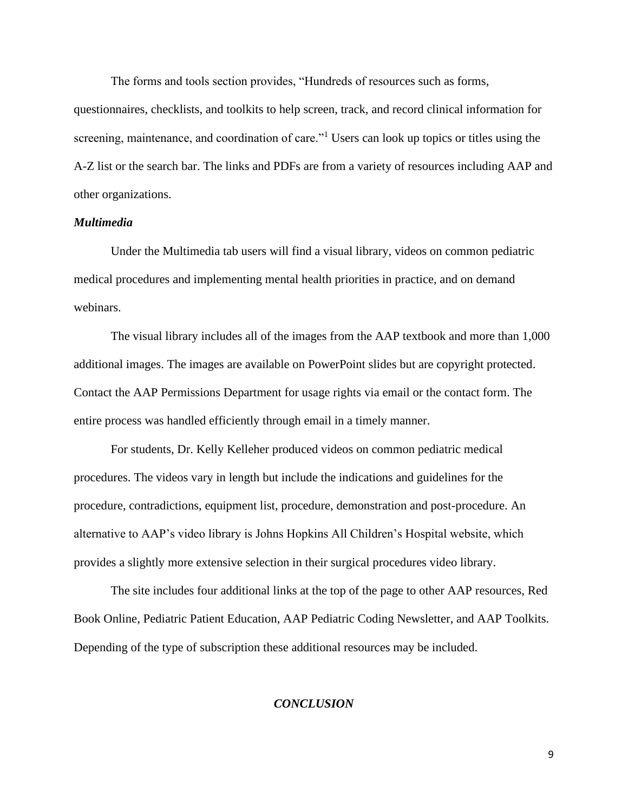The forms and tools section provides, "Hundreds of resources such as forms,

questionnaires, checklists, and toolkits to help screen, track, and record clinical information for screening, maintenance, and coordination of care."<sup>1</sup> Users can look up topics or titles using the A-Z list or the search bar. The links and PDFs are from a variety of resources including AAP and other organizations.

#### *Multimedia*

Under the Multimedia tab users will find a visual library, videos on common pediatric medical procedures and implementing mental health priorities in practice, and on demand webinars.

The visual library includes all of the images from the AAP textbook and more than 1,000 additional images. The images are available on PowerPoint slides but are copyright protected. Contact the AAP Permissions Department for usage rights via email or the contact form. The entire process was handled efficiently through email in a timely manner.

For students, Dr. Kelly Kelleher produced videos on common pediatric medical procedures. The videos vary in length but include the indications and guidelines for the procedure, contradictions, equipment list, procedure, demonstration and post-procedure. An alternative to AAP's video library is Johns Hopkins All Children's Hospital website, which provides a slightly more extensive selection in their surgical procedures video library.

The site includes four additional links at the top of the page to other AAP resources, Red Book Online, Pediatric Patient Education, AAP Pediatric Coding Newsletter, and AAP Toolkits. Depending of the type of subscription these additional resources may be included.

#### *CONCLUSION*